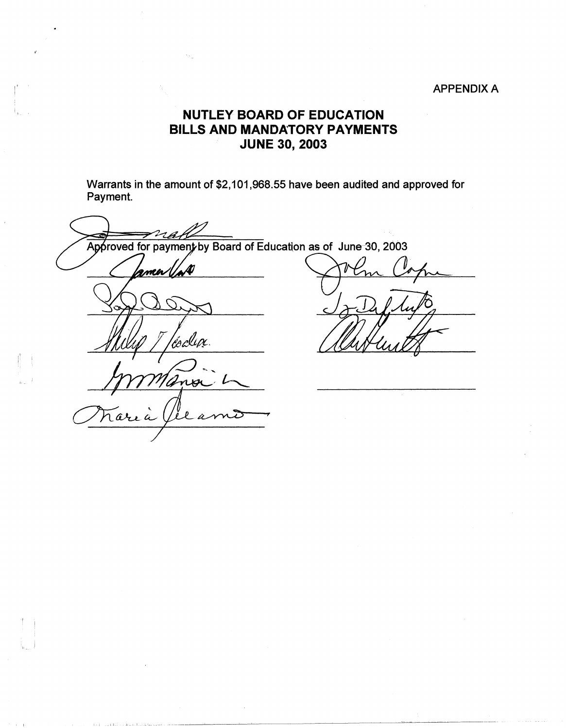## APPENDIX A

## **NUTLEY BOARD OF EDUCATION BILLS AND MANDATORY PAYMENTS JUNE 30, 2003**

Warrants in the amount of \$2,101,968.55 have been audited and approved for Payment.

na Approved for payment by Board of Education as of June 30, 2003 zma Ō. /ésclipt. ano ll a rarea  ${\cal W}$ 

 $\mathbf{r}$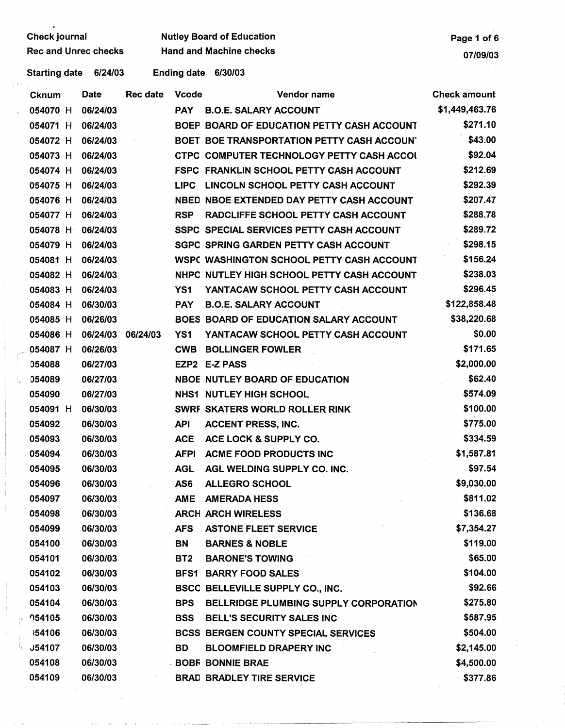Check journal **Check iournal** Nutley Board of Education<br>Rec and Unrec checks Hand and Machine checks **Page 1 of 6** 

Records and Machine checks and Machine checks of the United States of the United States 07/09/03

Starting date 6/24/03 Ending date 6/30/03

| <b>Cknum</b>  | <b>Date</b> | <b>Rec date</b> | <b>Vcode</b>    | Vendor name                                    | <b>Check amount</b> |
|---------------|-------------|-----------------|-----------------|------------------------------------------------|---------------------|
| 054070 H      | 06/24/03    |                 | <b>PAY</b>      | <b>B.O.E. SALARY ACCOUNT</b>                   | \$1,449,463.76      |
| 054071 H      | 06/24/03    |                 |                 | BOEP BOARD OF EDUCATION PETTY CASH ACCOUNT     | \$271.10            |
| 054072 H      | 06/24/03    |                 |                 | BOET BOE TRANSPORTATION PETTY CASH ACCOUN'     | \$43.00             |
| 054073 H      | 06/24/03    |                 |                 | CTPC COMPUTER TECHNOLOGY PETTY CASH ACCOL      | \$92.04             |
| 054074 H      | 06/24/03    |                 |                 | <b>FSPC FRANKLIN SCHOOL PETTY CASH ACCOUNT</b> | \$212.69            |
| 054075 H      | 06/24/03    |                 | <b>LIPC</b>     | LINCOLN SCHOOL PETTY CASH ACCOUNT              | \$292.39            |
| 054076 H      | 06/24/03    |                 |                 | NBED NBOE EXTENDED DAY PETTY CASH ACCOUNT      | \$207.47            |
| 054077 H      | 06/24/03    |                 | <b>RSP</b>      | RADCLIFFE SCHOOL PETTY CASH ACCOUNT            | \$288.78            |
| 054078 H      | 06/24/03    |                 |                 | SSPC SPECIAL SERVICES PETTY CASH ACCOUNT       | \$289.72            |
| 054079 H      | 06/24/03    |                 |                 | SGPC SPRING GARDEN PETTY CASH ACCOUNT          | \$298.15            |
| 054081 H      | 06/24/03    |                 |                 | WSPC WASHINGTON SCHOOL PETTY CASH ACCOUNT      | \$156.24            |
| 054082 H      | 06/24/03    |                 |                 | NHPC NUTLEY HIGH SCHOOL PETTY CASH ACCOUNT     | \$238.03            |
| 054083 H      | 06/24/03    |                 | <b>YS1</b>      | YANTACAW SCHOOL PETTY CASH ACCOUNT             | \$296.45            |
| 054084 H      | 06/30/03    |                 | <b>PAY</b>      | <b>B.O.E. SALARY ACCOUNT</b>                   | \$122,858.48        |
| 054085 H      | 06/26/03    |                 |                 | BOES BOARD OF EDUCATION SALARY ACCOUNT         | \$38,220.68         |
| 054086 H      | 06/24/03    | 06/24/03        | YS1             | YANTACAW SCHOOL PETTY CASH ACCOUNT             | \$0.00              |
| 054087 H      | 06/26/03    |                 | <b>CWB</b>      | <b>BOLLINGER FOWLER</b>                        | \$171.65            |
| 054088        | 06/27/03    |                 |                 | EZP2 E-Z PASS                                  | \$2,000.00          |
| 054089        | 06/27/03    |                 |                 | <b>NBOE NUTLEY BOARD OF EDUCATION</b>          | \$62.40             |
| 054090        | 06/27/03    |                 |                 | <b>NHS1 NUTLEY HIGH SCHOOL</b>                 | \$574.09            |
| 054091 H      | 06/30/03    |                 |                 | <b>SWRF SKATERS WORLD ROLLER RINK</b>          | \$100.00            |
| 054092        | 06/30/03    |                 | <b>API</b>      | <b>ACCENT PRESS, INC.</b>                      | \$775.00            |
| 054093        | 06/30/03    |                 | <b>ACE</b>      | ACE LOCK & SUPPLY CO.                          | \$334.59            |
| 054094        | 06/30/03    |                 | <b>AFPI</b>     | <b>ACME FOOD PRODUCTS INC</b>                  | \$1,587.81          |
| 054095        | 06/30/03    |                 | <b>AGL</b>      | AGL WELDING SUPPLY CO. INC.                    | \$97.54             |
| 054096        | 06/30/03    |                 | AS <sub>6</sub> | <b>ALLEGRO SCHOOL</b>                          | \$9,030.00          |
| 054097        | 06/30/03    |                 | AME             | <b>AMERADA HESS</b>                            | \$811.02            |
| 054098        | 06/30/03    |                 |                 | <b>ARCH ARCH WIRELESS</b>                      | \$136.68            |
| 054099        | 06/30/03    |                 | <b>AFS</b>      | <b>ASTONE FLEET SERVICE</b>                    | \$7,354.27          |
| 054100        | 06/30/03    |                 | <b>BN</b>       | <b>BARNES &amp; NOBLE</b>                      | \$119.00            |
| 054101        | 06/30/03    |                 | BT <sub>2</sub> | <b>BARONE'S TOWING</b>                         | \$65.00             |
| 054102        | 06/30/03    |                 |                 | <b>BFS1 BARRY FOOD SALES</b>                   | \$104.00            |
| 054103        | 06/30/03    |                 |                 | <b>BSCC BELLEVILLE SUPPLY CO., INC.</b>        | \$92.66             |
| 054104        | 06/30/03    |                 | <b>BPS</b>      | <b>BELLRIDGE PLUMBING SUPPLY CORPORATION</b>   | \$275.80            |
| <b>054105</b> | 06/30/03    |                 | <b>BSS</b>      | BELL'S SECURITY SALES INC                      | \$587.95            |
| 154106        | 06/30/03    |                 |                 | <b>BCSS BERGEN COUNTY SPECIAL SERVICES</b>     | \$504.00            |
| <b>J54107</b> | 06/30/03    |                 | <b>BD</b>       | <b>BLOOMFIELD DRAPERY INC</b>                  | \$2,145.00          |
| 054108        | 06/30/03    |                 |                 | <b>BOBF BONNIE BRAE</b>                        | \$4,500.00          |
| 054109        | 06/30/03    |                 |                 | <b>BRAD BRADLEY TIRE SERVICE</b>               | \$377.86            |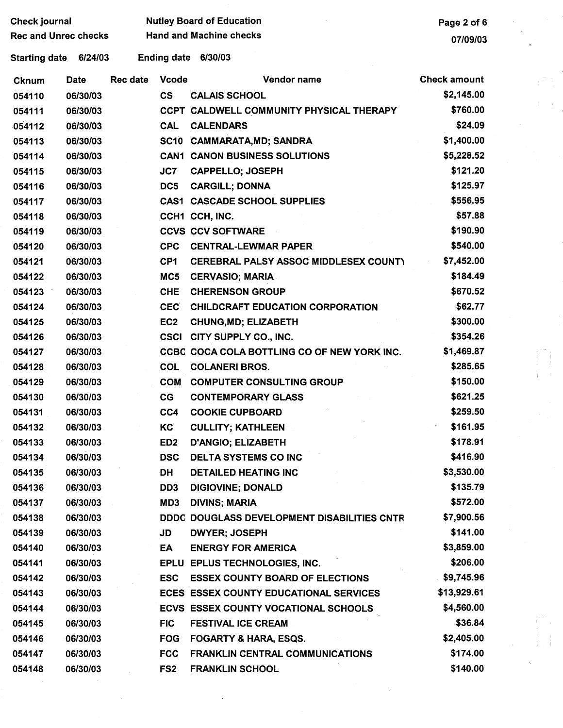| <b>Check journal</b>        |             |          | <b>Nutley Board of Education</b> | Page 2 of 6                                  |                     |
|-----------------------------|-------------|----------|----------------------------------|----------------------------------------------|---------------------|
| <b>Rec and Unrec checks</b> |             |          |                                  | <b>Hand and Machine checks</b>               | 07/09/03            |
| <b>Starting date</b>        | 6/24/03     |          | <b>Ending date</b>               | 6/30/03                                      |                     |
| Cknum                       | <b>Date</b> | Rec date | <b>Vcode</b>                     | Vendor name                                  | <b>Check amount</b> |
| 054110                      | 06/30/03    |          | $\mathsf{cs}$                    | <b>CALAIS SCHOOL</b>                         | \$2,145.00          |
| 054111                      | 06/30/03    |          |                                  | CCPT CALDWELL COMMUNITY PHYSICAL THERAPY     | \$760.00            |
| 054112                      | 06/30/03    |          | <b>CAL</b>                       | <b>CALENDARS</b>                             | \$24.09             |
| 054113                      | 06/30/03    |          | <b>SC10</b>                      | <b>CAMMARATA, MD; SANDRA</b>                 | \$1,400.00          |
| 054114                      | 06/30/03    |          |                                  | <b>CAN1 CANON BUSINESS SOLUTIONS</b>         | \$5,228.52          |
| 054115                      | 06/30/03    |          | JC7                              | <b>CAPPELLO; JOSEPH</b>                      | \$121.20            |
| 054116                      | 06/30/03    |          | DC <sub>5</sub>                  | <b>CARGILL; DONNA</b>                        | \$125.97            |
| 054117                      | 06/30/03    |          |                                  | <b>CAS1 CASCADE SCHOOL SUPPLIES</b>          | \$556.95            |
| 054118                      | 06/30/03    |          |                                  | CCH1 CCH, INC.                               | \$57.88             |
| 054119                      | 06/30/03    |          |                                  | <b>CCVS CCV SOFTWARE</b>                     | \$190.90            |
| 054120                      | 06/30/03    |          | <b>CPC</b>                       | <b>CENTRAL-LEWMAR PAPER</b>                  | \$540.00            |
| 054121                      | 06/30/03    |          | CP <sub>1</sub>                  | <b>CEREBRAL PALSY ASSOC MIDDLESEX COUNT)</b> | \$7,452.00          |
| 054122                      | 06/30/03    |          | MC5                              | <b>CERVASIO; MARIA.</b>                      | \$184.49            |
| 054123                      | 06/30/03    |          | <b>CHE</b>                       | <b>CHERENSON GROUP</b>                       | \$670.52            |
| 054124                      | 06/30/03    |          | <b>CEC</b>                       | <b>CHILDCRAFT EDUCATION CORPORATION</b>      | \$62.77             |
| 054125                      | 06/30/03    |          | EC <sub>2</sub>                  | <b>CHUNG, MD; ELIZABETH</b>                  | \$300.00            |
| 054126                      | 06/30/03    |          | <b>CSCI</b>                      | CITY SUPPLY CO., INC.                        | \$354.26            |
| 054127                      | 06/30/03    |          |                                  | CCBC COCA COLA BOTTLING CO OF NEW YORK INC.  | \$1,469.87          |
| 054128                      | 06/30/03    |          | <b>COL</b>                       | <b>COLANERI BROS.</b>                        | \$285.65            |
| 054129                      | 06/30/03    |          | <b>COM</b>                       | <b>COMPUTER CONSULTING GROUP</b>             | \$150.00            |
| 054130                      | 06/30/03    |          | CG                               | <b>CONTEMPORARY GLASS</b>                    | \$621.25            |
| 054131                      | 06/30/03    |          | CC4                              | <b>COOKIE CUPBOARD</b>                       | \$259.50            |
| 054132                      | 06/30/03    |          | KC                               | <b>CULLITY; KATHLEEN</b>                     | \$161.95            |
| 054133                      | 06/30/03    |          | ED <sub>2</sub>                  | D'ANGIO; ELIZABETH                           | \$178.91            |
| 054134                      | 06/30/03    |          | <b>DSC</b>                       | DELTA SYSTEMS CO INC                         | \$416.90            |
| 054135                      | 06/30/03    |          | ĐН                               | <b>DETAILED HEATING INC</b>                  | \$3,530.00          |
| 054136                      | 06/30/03    |          | DD <sub>3</sub>                  | <b>DIGIOVINE; DONALD</b>                     | \$135.79            |
| 054137                      | 06/30/03    |          | MD3                              | <b>DIVINS; MARIA</b>                         | \$572.00            |
| 054138                      | 06/30/03    |          |                                  | DDDC DOUGLASS DEVELOPMENT DISABILITIES CNTR  | \$7,900.56          |
| 054139                      | 06/30/03    |          | JD                               | <b>DWYER; JOSEPH</b>                         | \$141.00            |
| 054140                      | 06/30/03    |          | EA                               | <b>ENERGY FOR AMERICA</b>                    | \$3,859.00          |
| 054141                      | 06/30/03    |          |                                  | EPLU EPLUS TECHNOLOGIES, INC.                | \$206.00            |
| 054142                      | 06/30/03    |          | <b>ESC</b>                       | <b>ESSEX COUNTY BOARD OF ELECTIONS</b>       | \$9,745.96          |
| 054143                      | 06/30/03    |          |                                  | ECES ESSEX COUNTY EDUCATIONAL SERVICES       | \$13,929.61         |
| 054144                      | 06/30/03    |          |                                  | ECVS ESSEX COUNTY VOCATIONAL SCHOOLS         | \$4,560.00          |
| 054145                      | 06/30/03    |          | <b>FIC</b>                       | <b>FESTIVAL ICE CREAM</b>                    | \$36.84             |
| 054146                      | 06/30/03    |          | <b>FOG</b>                       | <b>FOGARTY &amp; HARA, ESQS.</b>             | \$2,405.00          |
| 054147                      | 06/30/03    |          | <b>FCC</b>                       | <b>FRANKLIN CENTRAL COMMUNICATIONS</b>       | \$174.00            |
| 054148                      | 06/30/03    |          | FS <sub>2</sub>                  | <b>FRANKLIN SCHOOL</b>                       | \$140.00            |
|                             |             |          |                                  |                                              |                     |
|                             |             |          |                                  |                                              |                     |

I :

ti<br>M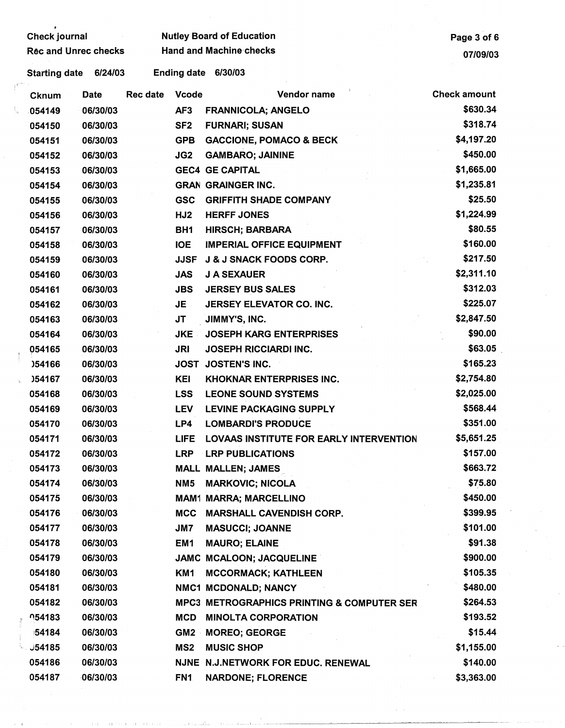| <b>Check journal</b>        |          |          |                    | <b>Nutley Board of Education</b>                      | Page 3 of 6         |
|-----------------------------|----------|----------|--------------------|-------------------------------------------------------|---------------------|
| <b>Rec and Unrec checks</b> |          |          |                    | <b>Hand and Machine checks</b>                        | 07/09/03            |
| <b>Starting date</b>        | 6/24/03  |          | <b>Ending date</b> | 6/30/03                                               |                     |
| <b>Cknum</b>                | Date     | Rec date | <b>Vcode</b>       | Vendor name                                           | <b>Check amount</b> |
| 054149                      | 06/30/03 |          | AF <sub>3</sub>    | <b>FRANNICOLA; ANGELO</b>                             | \$630.34            |
| 054150                      | 06/30/03 |          | SF <sub>2</sub>    | <b>FURNARI; SUSAN</b>                                 | \$318.74            |
| 054151                      | 06/30/03 |          | <b>GPB</b>         | <b>GACCIONE, POMACO &amp; BECK</b>                    | \$4,197.20          |
| 054152                      | 06/30/03 |          | JG2                | <b>GAMBARO; JAININE</b>                               | \$450.00            |
| 054153                      | 06/30/03 |          |                    | <b>GEC4 GE CAPITAL</b>                                | \$1,665.00          |
| 054154                      | 06/30/03 |          |                    | <b>GRAN GRAINGER INC.</b>                             | \$1,235.81          |
| 054155                      | 06/30/03 |          | <b>GSC</b>         | <b>GRIFFITH SHADE COMPANY</b>                         | \$25.50             |
| 054156                      | 06/30/03 |          | HJ2                | <b>HERFF JONES</b>                                    | \$1,224.99          |
| 054157                      | 06/30/03 |          | BH <sub>1</sub>    | <b>HIRSCH; BARBARA</b>                                | \$80.55             |
| 054158                      | 06/30/03 |          | <b>IOE</b>         | <b>IMPERIAL OFFICE EQUIPMENT</b>                      | \$160.00            |
| 054159                      | 06/30/03 |          | <b>JJSF</b>        | <b>J &amp; J SNACK FOODS CORP.</b>                    | \$217.50            |
| 054160                      | 06/30/03 |          | <b>JAS</b>         | <b>J A SEXAUER</b>                                    | \$2,311.10          |
| 054161                      | 06/30/03 |          | <b>JBS</b>         | <b>JERSEY BUS SALES</b>                               | \$312.03            |
| 054162                      | 06/30/03 |          | JE                 | JERSEY ELEVATOR CO. INC.                              | \$225.07            |
| 054163                      | 06/30/03 |          | JT                 | JIMMY'S, INC.                                         | \$2,847.50          |
| 054164                      | 06/30/03 |          | <b>JKE</b>         | <b>JOSEPH KARG ENTERPRISES</b>                        | \$90.00             |
| 054165                      | 06/30/03 |          | <b>JRI</b>         | <b>JOSEPH RICCIARDI INC.</b>                          | \$63.05             |
| )54166                      | 06/30/03 |          |                    | JOST JOSTEN'S INC.                                    | \$165.23            |
| <b>J54167</b>               | 06/30/03 |          | <b>KEI</b>         | <b>KHOKNAR ENTERPRISES INC.</b>                       | \$2,754.80          |
| 054168                      | 06/30/03 |          | <b>LSS</b>         | <b>LEONE SOUND SYSTEMS</b>                            | \$2,025.00          |
| 054169                      | 06/30/03 |          | <b>LEV</b>         | <b>LEVINE PACKAGING SUPPLY</b>                        | \$568.44            |
| 054170                      | 06/30/03 |          | LP4                | <b>LOMBARDI'S PRODUCE</b>                             | \$351.00            |
| 054171                      | 06/30/03 |          | <b>LIFE</b>        | <b>LOVAAS INSTITUTE FOR EARLY INTERVENTION</b>        | \$5,651.25          |
| 054172                      | 06/30/03 |          | <b>LRP</b>         | <b>LRP PUBLICATIONS</b>                               | \$157.00            |
| 054173                      | 06/30/03 |          |                    | <b>MALL MALLEN; JAMES</b>                             | \$663.72            |
| 054174                      | 06/30/03 |          | NM <sub>5</sub>    | <b>MARKOVIC; NICOLA</b>                               | \$75.80             |
| 054175                      | 06/30/03 |          |                    | <b>MAM1 MARRA; MARCELLINO</b>                         | \$450.00            |
| 054176                      | 06/30/03 |          | <b>MCC</b>         | <b>MARSHALL CAVENDISH CORP.</b>                       | \$399.95            |
| 054177                      | 06/30/03 |          | JM7                | <b>MASUCCI; JOANNE</b>                                | \$101.00            |
| 054178                      | 06/30/03 |          | EM1                | <b>MAURO; ELAINE</b>                                  | \$91.38             |
| 054179                      | 06/30/03 |          |                    | JAMC MCALOON; JACQUELINE                              | \$900.00            |
| 054180                      | 06/30/03 |          | KM1                | <b>MCCORMACK; KATHLEEN</b>                            | \$105.35            |
| 054181                      | 06/30/03 |          |                    | NMC1 MCDONALD; NANCY                                  | \$480.00            |
| 054182                      | 06/30/03 |          |                    | <b>MPC3 METROGRAPHICS PRINTING &amp; COMPUTER SER</b> | \$264.53            |
| <b>054183</b>               | 06/30/03 |          | <b>MCD</b>         | <b>MINOLTA CORPORATION</b>                            | \$193.52            |
| 54184                       | 06/30/03 |          | GM <sub>2</sub>    | <b>MOREO; GEORGE</b>                                  | \$15.44             |
| J54185                      | 06/30/03 |          | MS <sub>2</sub>    | <b>MUSIC SHOP</b>                                     | \$1,155.00          |
| 054186                      | 06/30/03 |          |                    | NJNE N.J.NETWORK FOR EDUC. RENEWAL                    | \$140.00            |
| 054187                      | 06/30/03 |          | FN <sub>1</sub>    | <b>NARDONE; FLORENCE</b>                              | \$3,363.00          |

 $\mathbb{I}_n$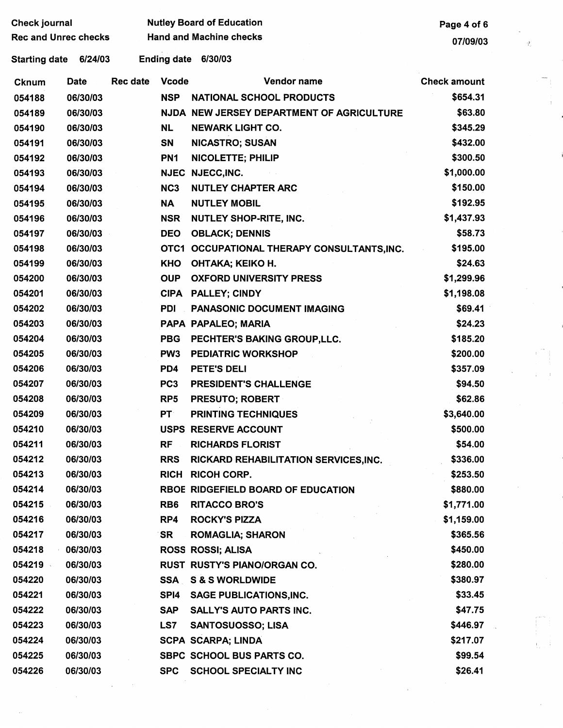| <b>Check journal</b>            |             |                 | <b>Nutley Board of Education</b> | Page 4 of 6                                 |                     |
|---------------------------------|-------------|-----------------|----------------------------------|---------------------------------------------|---------------------|
| <b>Rec and Unrec checks</b>     |             |                 | <b>Hand and Machine checks</b>   | 07/09/03                                    |                     |
| <b>Starting date</b><br>6/24/03 |             |                 | Ending date 6/30/03              |                                             |                     |
| Cknum                           | <b>Date</b> | <b>Rec date</b> | <b>Vcode</b>                     | Vendor name                                 | <b>Check amount</b> |
| 054188                          | 06/30/03    |                 | <b>NSP</b>                       | <b>NATIONAL SCHOOL PRODUCTS</b>             | \$654.31            |
| 054189                          | 06/30/03    |                 |                                  | NJDA NEW JERSEY DEPARTMENT OF AGRICULTURE   | \$63.80             |
| 054190                          | 06/30/03    |                 | <b>NL</b>                        | <b>NEWARK LIGHT CO.</b>                     | \$345.29            |
| 054191                          | 06/30/03    |                 | SN                               | <b>NICASTRO; SUSAN</b>                      | \$432.00            |
| 054192                          | 06/30/03    |                 | PN <sub>1</sub>                  | NICOLETTE; PHILIP                           | \$300.50            |
| 054193                          | 06/30/03    |                 | <b>NJEC</b>                      | NJECC, INC.                                 | \$1,000.00          |
| 054194                          | 06/30/03    |                 | NC <sub>3</sub>                  | <b>NUTLEY CHAPTER ARC</b>                   | \$150.00            |
| 054195                          | 06/30/03    |                 | <b>NA</b>                        | <b>NUTLEY MOBIL</b>                         | \$192.95            |
| 054196                          | 06/30/03    |                 | <b>NSR</b>                       | <b>NUTLEY SHOP-RITE, INC.</b>               | \$1,437.93          |
| 054197                          | 06/30/03    |                 | <b>DEO</b>                       | <b>OBLACK; DENNIS</b>                       | \$58.73             |
| 054198                          | 06/30/03    |                 |                                  | OTC1 OCCUPATIONAL THERAPY CONSULTANTS, INC. | \$195.00            |
| 054199                          | 06/30/03    |                 | <b>KHO</b>                       | OHTAKA; KEIKO H.                            | \$24.63             |
| 054200                          | 06/30/03    |                 | <b>OUP</b>                       | <b>OXFORD UNIVERSITY PRESS</b>              | \$1,299.96          |
| 054201                          | 06/30/03    |                 | <b>CIPA</b>                      | <b>PALLEY; CINDY</b>                        | \$1,198.08          |
| 054202                          | 06/30/03    |                 | <b>PDI</b>                       | <b>PANASONIC DOCUMENT IMAGING</b>           | \$69.41             |
| 054203                          | 06/30/03    |                 |                                  | PAPA PAPALEO; MARIA                         | \$24.23             |
| 054204                          | 06/30/03    |                 | <b>PBG</b>                       | PECHTER'S BAKING GROUP, LLC.                | \$185.20            |
| 054205                          | 06/30/03    |                 | PW <sub>3</sub>                  | <b>PEDIATRIC WORKSHOP</b>                   | \$200.00            |
| 054206                          | 06/30/03    |                 | PD4                              | PETE'S DELI                                 | \$357.09            |
| 054207                          | 06/30/03    |                 | PC <sub>3</sub>                  | <b>PRESIDENT'S CHALLENGE</b>                | \$94.50             |
| 054208                          | 06/30/03    |                 | RP <sub>5</sub>                  | <b>PRESUTO; ROBERT</b>                      | \$62.86             |
| 054209                          | 06/30/03    |                 | <b>PT</b>                        | <b>PRINTING TECHNIQUES</b>                  | \$3,640.00          |
| 054210                          | 06/30/03    |                 |                                  | USPS RESERVE ACCOUNT                        | \$500.00            |
| 054211                          | 06/30/03    |                 | RF                               | <b>RICHARDS FLORIST</b>                     | \$54.00             |
| 054212                          | 06/30/03    |                 | <b>RRS</b>                       | RICKARD REHABILITATION SERVICES, INC.       | \$336.00            |
| 054213                          | 06/30/03    |                 | <b>RICH</b>                      | <b>RICOH CORP.</b>                          | \$253.50            |
| 054214                          | 06/30/03    |                 |                                  | RBOE RIDGEFIELD BOARD OF EDUCATION          | \$880.00            |
| 054215                          | 06/30/03    |                 | RB <sub>6</sub>                  | <b>RITACCO BRO'S</b>                        | \$1,771.00          |
| 054216                          | 06/30/03    |                 | RP4                              | <b>ROCKY'S PIZZA</b>                        | \$1,159.00          |
| 054217                          | 06/30/03    |                 | <b>SR</b>                        | <b>ROMAGLIA; SHARON</b>                     | \$365.56            |
| 054218                          | 06/30/03    |                 |                                  | <b>ROSS ROSSI; ALISA</b>                    | \$450.00            |
| 054219                          | 06/30/03    |                 |                                  | RUST RUSTY'S PIANO/ORGAN CO.                | \$280.00            |
| 054220                          | 06/30/03    |                 |                                  | <b>SSA S &amp; S WORLDWIDE</b>              | \$380.97            |
| 054221                          | 06/30/03    |                 | SPI4                             | <b>SAGE PUBLICATIONS, INC.</b>              | \$33.45             |
| 054222                          | 06/30/03    |                 | <b>SAP</b>                       | <b>SALLY'S AUTO PARTS INC.</b>              | \$47.75             |
| 054223                          | 06/30/03    |                 | LS7                              | <b>SANTOSUOSSO; LISA</b>                    | \$446.97            |
| 054224                          | 06/30/03    |                 |                                  | <b>SCPA SCARPA; LINDA</b>                   | \$217.07            |
| 054225                          | 06/30/03    |                 |                                  | SBPC SCHOOL BUS PARTS CO.                   | \$99.54             |
| 054226                          | 06/30/03    |                 | <b>SPC</b>                       | <b>SCHOOL SPECIALTY INC</b>                 | \$26.41             |
|                                 |             |                 |                                  |                                             |                     |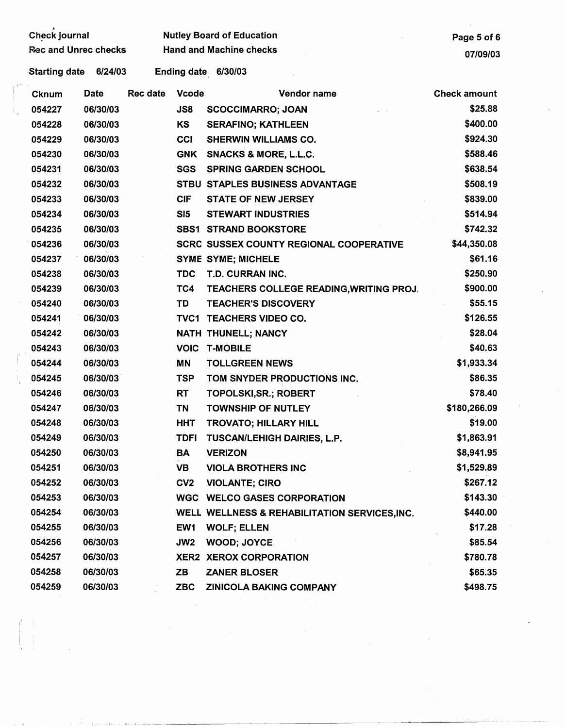| Check journal        | <b>Nutley Board of Education</b> | Page 5 of 6 |
|----------------------|----------------------------------|-------------|
| Rec and Unrec checks | <b>Hand and Machine checks</b>   | 07/09/03    |

Starting date 6/24/03 Ending date 6/30/03

| Cknum  | Date     | <b>Rec date</b> | <b>Vcode</b>    | Vendor name                                    | <b>Check amount</b> |
|--------|----------|-----------------|-----------------|------------------------------------------------|---------------------|
| 054227 | 06/30/03 |                 | JS8             | <b>SCOCCIMARRO; JOAN</b>                       | \$25.88             |
| 054228 | 06/30/03 |                 | KS              | <b>SERAFINO; KATHLEEN</b>                      | \$400.00            |
| 054229 | 06/30/03 |                 | CCI             | <b>SHERWIN WILLIAMS CO.</b>                    | \$924.30            |
| 054230 | 06/30/03 |                 | <b>GNK</b>      | <b>SNACKS &amp; MORE, L.L.C.</b>               | \$588.46            |
| 054231 | 06/30/03 |                 | <b>SGS</b>      | <b>SPRING GARDEN SCHOOL</b>                    | \$638.54            |
| 054232 | 06/30/03 |                 |                 | STBU STAPLES BUSINESS ADVANTAGE                | \$508.19            |
| 054233 | 06/30/03 |                 | <b>CIF</b>      | <b>STATE OF NEW JERSEY</b>                     | \$839.00            |
| 054234 | 06/30/03 |                 | SI5             | <b>STEWART INDUSTRIES</b>                      | \$514.94            |
| 054235 | 06/30/03 |                 |                 | <b>SBS1 STRAND BOOKSTORE</b>                   | \$742.32            |
| 054236 | 06/30/03 |                 |                 | <b>SCRC SUSSEX COUNTY REGIONAL COOPERATIVE</b> | \$44,350.08         |
| 054237 | 06/30/03 |                 |                 | <b>SYME SYME; MICHELE</b>                      | \$61.16             |
| 054238 | 06/30/03 |                 | <b>TDC</b>      | T.D. CURRAN INC.                               | \$250.90            |
| 054239 | 06/30/03 |                 | TC4             | TEACHERS COLLEGE READING, WRITING PROJ.        | \$900.00            |
| 054240 | 06/30/03 |                 | TD              | <b>TEACHER'S DISCOVERY</b>                     | \$55.15             |
| 054241 | 06/30/03 |                 |                 | TVC1 TEACHERS VIDEO CO.                        | \$126.55            |
| 054242 | 06/30/03 |                 |                 | NATH THUNELL; NANCY                            | \$28.04             |
| 054243 | 06/30/03 |                 |                 | <b>VOIC T-MOBILE</b>                           | \$40.63             |
| 054244 | 06/30/03 |                 | ΜN              | <b>TOLLGREEN NEWS</b>                          | \$1,933.34          |
| 054245 | 06/30/03 |                 | <b>TSP</b>      | TOM SNYDER PRODUCTIONS INC.                    | \$86.35             |
| 054246 | 06/30/03 |                 | <b>RT</b>       | TOPOLSKI, SR.; ROBERT                          | \$78.40             |
| 054247 | 06/30/03 |                 | <b>TN</b>       | <b>TOWNSHIP OF NUTLEY</b>                      | \$180,266.09        |
| 054248 | 06/30/03 |                 | <b>HHT</b>      | <b>TROVATO; HILLARY HILL</b>                   | \$19.00             |
| 054249 | 06/30/03 |                 | <b>TDFI</b>     | TUSCAN/LEHIGH DAIRIES, L.P.                    | \$1,863.91          |
| 054250 | 06/30/03 |                 | BA              | <b>VERIZON</b>                                 | \$8,941.95          |
| 054251 | 06/30/03 |                 | <b>VB</b>       | <b>VIOLA BROTHERS INC</b>                      | \$1,529.89          |
| 054252 | 06/30/03 |                 | CV <sub>2</sub> | <b>VIOLANTE; CIRO</b>                          | \$267.12            |
| 054253 | 06/30/03 |                 |                 | WGC WELCO GASES CORPORATION                    | \$143.30            |
| 054254 | 06/30/03 |                 |                 | WELL WELLNESS & REHABILITATION SERVICES, INC.  | \$440.00            |
| 054255 | 06/30/03 |                 | EW <sub>1</sub> | <b>WOLF; ELLEN</b>                             | \$17.28             |
| 054256 | 06/30/03 |                 | JW2             | <b>WOOD; JOYCE</b>                             | \$85.54             |
| 054257 | 06/30/03 |                 |                 | <b>XER2 XEROX CORPORATION</b>                  | \$780.78            |
| 054258 | 06/30/03 |                 | ZB              | <b>ZANER BLOSER</b>                            | \$65.35             |
| 054259 | 06/30/03 |                 | <b>ZBC</b>      | <b>ZINICOLA BAKING COMPANY</b>                 | \$498.75            |